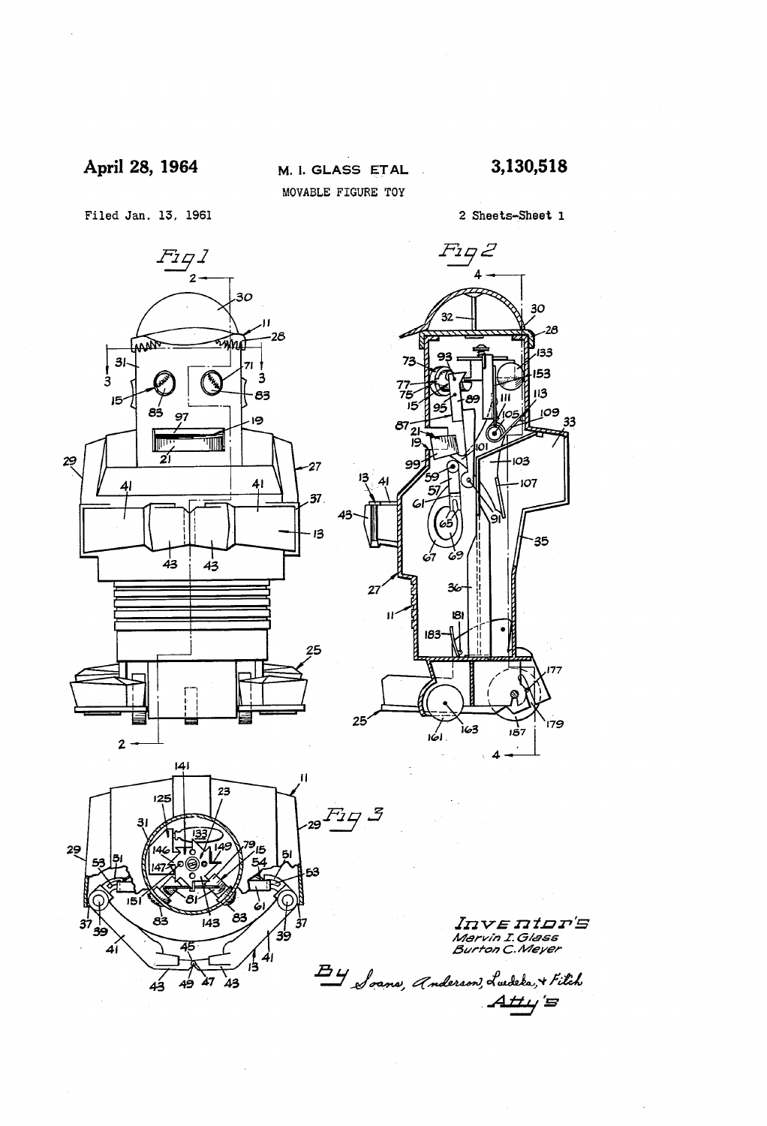# April 28, 1964

M. I. GLASS ETAL MOVABLE FIGURE TOY

 $\mathbb{R}^2$ 

3,130,518

Filed Jan. 13, 1961

2 Sheets-Sheet 1

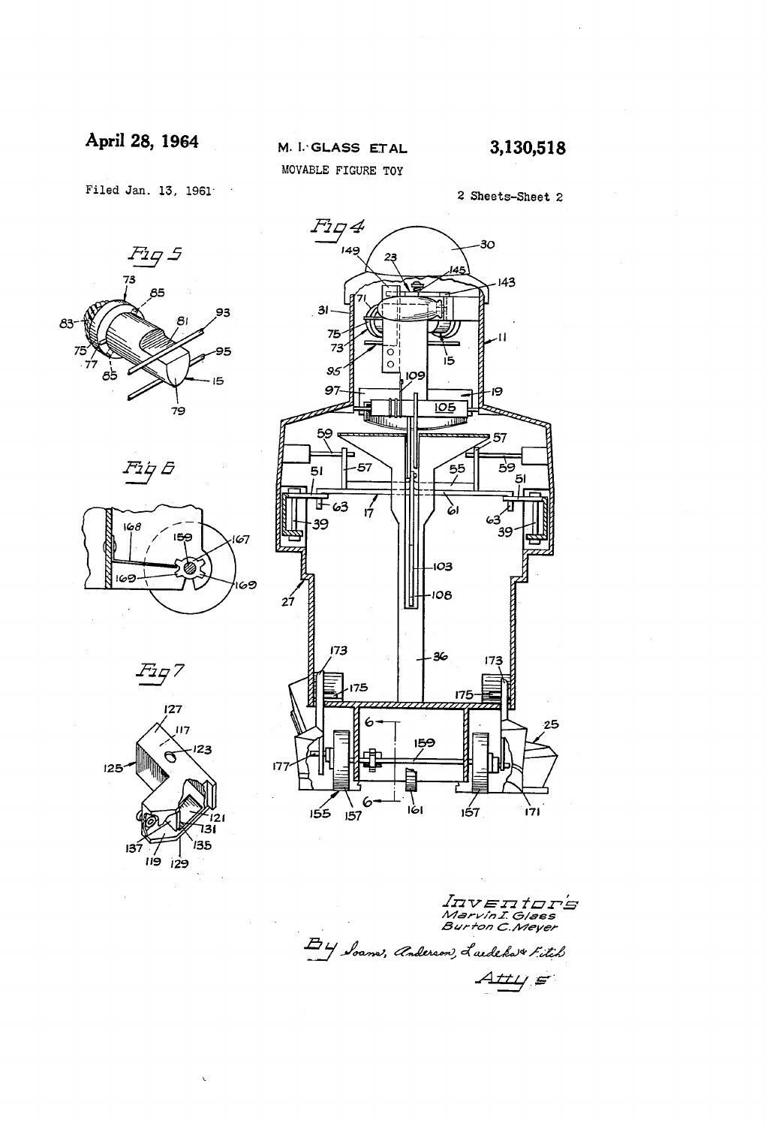April 28, 1964

Filed Jan. 13, 1961  $\sim$ 













*v e n ti* AAA V HAAAAHAHA<br>Marvin I. Glass<br>Burton C.Meyer E 4 Soams, Anderson, Laedeka + Fitch <u>HL/ S</u>

2 Sheets-Sheet 2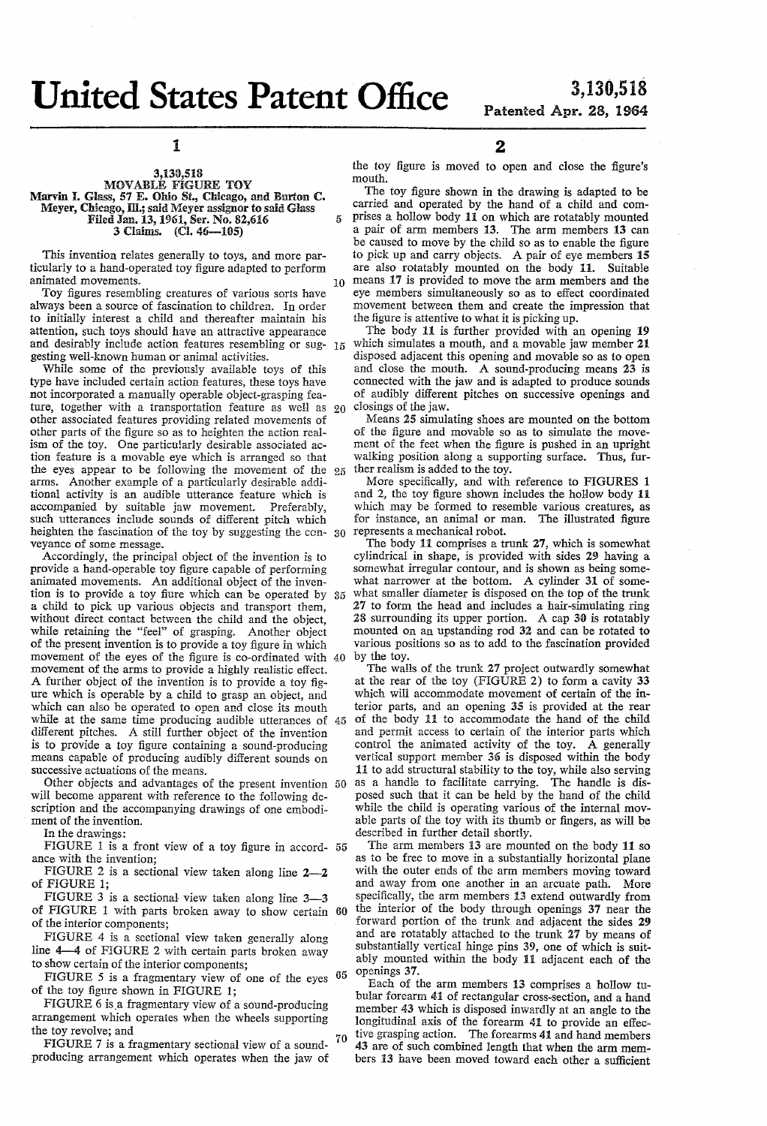O

5

1

### 3,130,518 MBWABLE FIGURE TOY Marvin I. Glass, 57 E. Ohio St., Chicago, and Burton C. Meyer, Chicago, Ill.; said Meyer assignor to said Glass Filed Jan. 13, 1961, Ser. No. 82,616<br>3 Claims. (Cl. 46-105)

This invention relates generally to toys, and more par ticularly to a hand-operated toy figure adapted to perform animated movements.

Toy figures resembling creatures of various sorts have always been a source of fascination to children. In order to initially interest a child and thereafter maintain his attention, such toys should have an attractive appearance attention, such toys should have an attractive appearance and desirably include action features resembling or sug gesting well-known human or animal activities.

While some of the previously available toys of this type have included certain action features, these toys have not incorporated a manually operable object-grasping fea ture, together with a transportation feature as well as 20 other associated features providing related movements of other parts of the figure so as to heighten the action real ism of the toy. One particularly desirable associated ac tion feature is a movable eye which is arranged so that the eyes appear to be following the movement of the 25 arms. Another example of a particularly desirable addi tional activity is an audible utterance feature which is accompanied by suitable jaw movement. Preferably, heighten the fascination of the toy by suggesting the con-  $30$  represents a mechanical robot.<br>veyance of some message. The body 11 comprises a tr

Accordingly, the principal object of the invention is to provide a hand-operable toy figure capable of performing tion is to provide a toy fiure which can be operated by a child to pick up various objects and transport then, while retaining the "feel" of grasping. Another object of the present invention is to provide a toy figure in which movement of the eyes of the figure is co-ordinated with 40 movement of the arms to provide a highly realistic effect. A further object of the invention is to provide a toy fig ure which is operable by a child to grasp an object, and which can also be operated to open and close its mouth while at the same time producing audible utterances of 45 different pitches. A still further object of the invention is to provide a toy figure containing a sound-producing means capable of producing audibly different sounds on successive actuations of the means.

Other objects and advantages of the present invention 50 will become apparent with reference to the following description and the accompanying drawings of one embodiment of the invention.

In the drawings:

IGURE 1 is a front view of a toy figure in accord-  $55$ ance with the invention;

FIGURE 2 is a sectional view taken along line  $2-2$ of FIGURE 1;

FIGURE 3 is a sectional view taken along line 3-3 of FIGURE 1 with parts broken away to show certain 60 of the interior components;<br>FIGURE 4 is a sectional view taken generally along

line  $4-4$  of FIGURE 2 with certain parts broken away to show certain of the interior components;

FIGURE 5 is a fragmentary view of one of the eyes  $65$  of the toy figure shown in FIGURE 1;

FIGURE 6 is a fragmentary view of a sound-producing arrangement which operates when the wheels supporting the toy revolve; and

FIGURE 7 is a fragmentary sectional view of a sound producing arrangement which operates when the jaw of 70 2

the toy figure is moved to open and close the figure's mouth.

The toy figure shown in the drawing is adapted to be carried and operated by the hand of a child and com prises a hollow body 11 on which are rotatably mounted a pair of arm members 13. The arm members 13 can be caused to move by the child so as to enable the figure to pick up and carry objects. A pair of eye members 15 are also rotatably mounted on the body 11. Suitable means 17 is provided to move the arm members and the eye members simultaneously so as to effect coordinated movement between them and create the impression that the figure is attentive to what it is picking up.

The body 11 is further provided with an opening 19 which simulates a mouth, and a movable jaw member 21 disposed adjacent this opening and movable so as to open and close the mouth. A sound-producing means 23 is connected with the jaw and is adapted to produce sounds of audibly different pitches on successive openings and closings of the jaw.

Means 25 simulating shoes are mounted on the bottom of the figure and movable so as to simulate the move-<br>ment of the feet when the figure is pushed in an upright walking position along a supporting surface. Thus, further realism is added to the toy.

More specifically, and with reference to FIGURES 1 and 2, the toy figure shown includes the hollow body 11 which may be formed to resemble various creatures, as for instance, an animal or man. The illustrated figure

The body 11 comprises a trunk 27, which is somewhat cylindrical in shape, is provided with sides 29 having a somewhat irregular contour, and is shown as being some what narrower at the bottom. A cylinder 31 of some what smaller diameter is disposed on the top of the trunk 27 to form the head and includes a hair-simulating ring 28 surrounding its upper portion. A cap 30 is rotatably mounted on an upstanding rod 32 and can be rotated to various positions so as to add to the fascination provided by the toy.

The walls of the trunk 27 project outwardly somewhat at the rear of the toy (FIGURE 2) to form a cavity 33 which wili accommodate movement of certain of the in terior parts, and an opening 35 is provided at the rear of the body 11 to accommodate the hand of the child and permit access to certain of the interior parts which control the animated activity of the toy. A generally vertical support member 36 is disposed within the body 11 to add structural stability to the toy, while also serving as a handle to facilitate carrying. The handle is dis posed such that it can be held by the hand of the child while the child is operating various of the internal mov able parts of the toy with its thumb or fingers, as will be described in further detail shortly.

The arm members 13 are mounted on the body 11 so as to be free to move in a substantially horizontal plane with the outer ends of the arm members moving toward and away from one another in an arcuate path. More specifically, the arm members 13 extend outwardly from the interior of the body through openings 37 near the forward portion of the trunk and adjacent the sides 29 and are rotatably attached to the trunk 27 by means of substantially vertical hinge pins 39, one of which is suitably mounted within the body 11 adjacent each of the openings 37.

Each of the arm members 13 comprises a hollow tubular forearm 41 of rectangular cross-section, and a hand member 43 which is disposed inwardly at an angle to the longitudinal axis of the forearm 41 to provide an effective grasping action. The forearms 41 and hand members 43 are of such combined length that when the arm members 13 have been moved toward each other a sufficient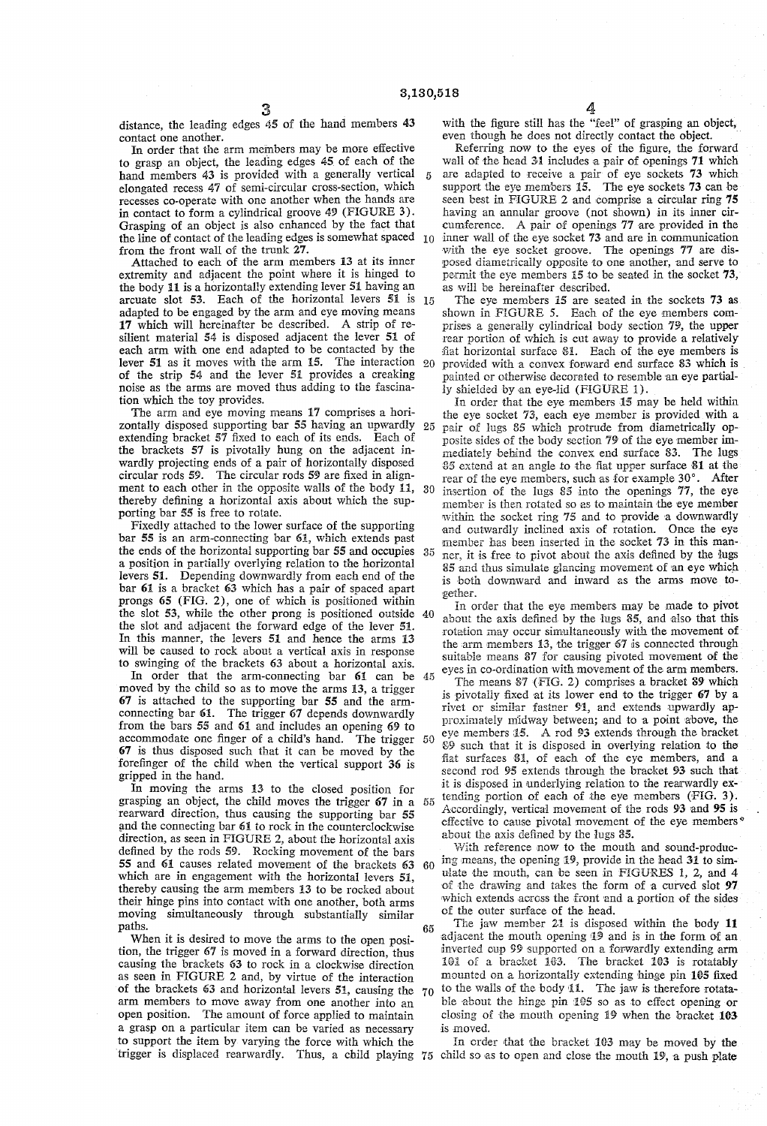$\tilde{\mathbf{a}}$ 

distance, the leading edges 45 of the hand members 43 contact one another.

In order that the arm members may be more effective to grasp an object, the leading edges 45 of each of the hand members 43 is provided with a generally vertical elongated recess 47 of semi-circular cross-section, which in contact to form a cylindrical groove  $49$  (FIGURE 3). Grasping of an object is also enhanced by the fact that the line of contact of the leading edges is somewhat spaced  $10<sup>2</sup>$ from the front wall of the trunk 27.

Attached to each of the arm members 13 at its inner extremity and adjacent the point where it is hinged to the body 11 is a horizontally extending lever 51 having an arcuate slot 53. Each of the horizontal levers 51 is 5 adapted to be engaged by the arm and eye moving means 17 which will hereinafter be described. A strip of re silient material 54 is disposed adjacent the lever 54 of each arm with one end adapted to be contacted by the lever 51 as it moves with the arm 15. The interaction  $20$  of the strip 54 and the lever 51 provides a creaking noise as the arms are moved thus adding to the fascination which the toy provides.

The arm and eye moving means 17 comprises a horizontally disposed supporting bar 55 having an upwardly 25 extending bracket 57 fixed to each of its ends. Each of the brackets 57 is pivotally hung on the adjacent in wardly projecting ends of a pair of horizontally disposed circular rods 59. The circular rods 59 are fixed in align ment to each other in the opposite walls of the body 11, thereby defining a horizontal axis about which the supporting bar 55 is free to rotate.<br>Fixedly attached to the lower surface of the supporting

bar  $55$  is an arm-connecting bar  $61$ , which extends past the ends of the horizontal supporting bar  $55$  and occupies a position in partially overlying relation to the horizontal levers 51. Depending downwardly from each end of the bar 61 is a bracket 63 which has a pair of spaced apart prongs 65 (FIG. 2), one of which is positioned within the slot 53, while the other prong is positioned outside 40 the slot and adjacent the forward edge of the lever 51. In this manner, the levers 51 and hence the arms 13 will be caused to rock about a vertical axis in response to swinging of the brackets 63 about a horizontal axis.

In order that the arm-connecting bar  $61$  can be  $45$  moved by the child so as to move the arms 13, a trigger 67 is attached to the supporting bar 55 and the armconnecting bar 61. The trigger 67 depends downwardly from the bars 55 and 61 and includes an opening 69 to  $67$  is thus disposed such that it can be moved by the forefinger of the child when the vertical support 36 is gripped in the hand.<br>In moving the arms 13 to the closed position for accommodate one finger of a child's hand. The trigger 50

In moving the arms 13 to the closed position for grasping an object, the child moves the trigger 67 in a 55 rearward direction, thus causing the supporting bar 55 and the connecting bar 61 to rock in the counterclockwise direction, as seen in FIGURE 2, about the horizontal axis defined by the rods 59. Rocking movement of the bars 55 and 61 causes related movement of the brackets  $63$  which are in engagement with the horizontal levers  $51$ , thereby causing the arm members 13 to be rocked about their hinge pins into contact with one another, both arms moving simultaneously through substantially similar paths.<br>When it is desired to move the arms to the open posi-

tion, the trigger 67 is moved in a forward direction, thus causing the brackets 63 to rock in a clockwise direction as seen in FIGURE 2 and, by virtue of the interaction of the brackets **63** and horizontal levers **51**, causing the 70 arm members to move away from one another into an open position. The amount of force applied to maintain a grasp on a particular item can be varied as necessary to support the item by varying the force with which the

4. with the figure still has the "feel' of grasping an object, even though he does not directly contact the object. Referring now to the eyes of the figure, the forward

wall of the head 31 includes a pair of openings 71 which

are adapted to receive a pair of eye sockets 73 which support the eye members 15. The eye sockets 73 can be seen best in FIGURE 2 and comprise a circular ring 75 having an annular groove (not shown) in its inner cir cumference. A pair of openings 77 are provided in the inner wall of the eye socket 73 and are in communication with the eye socket groove. The openings 77 are dis posed diametrically opposite to one another, and serve to permit the eye members 5 to be seated in the socket 73, as will be hereinafter described.

The eye members 15 are seated in the sockets 73 as shown in FIGURE 5. Each of the eye members comprises a generally cylindrical body section 79, the upper rear portion of which is cut away to provide a relatively flat horizontal surface 81. Each of the eye members is provided with a convex forward end surface 83 which is

30 insertion of the lugs 85 into the openings 77, the eye Iy shielded by an eye-lid (FIGURE 1).<br>In order that the eye-members 15 may be held within the eye socket 73, each eye member is provided with a pair of lugs 85 which protrude from diametrically opposite sides of the body section 79 of the eye member immediately behind the convex end surface 83. The lugs  $85$  extend at an angle to the fiat upper surface 81 at the rear of the eye members, such as for example 30°. After member is then rotated so as to maintain the eye member within the socket ring 75 and to provide a downwardly and outwardly inclined axis of rotation. Once the eye member has been inserted in the socket 73 in this manner, it is free to pivot about the axis defined by the lugs 85 and thus simulate glancing movement of an eye which is both downward and inward as the arms move to-

gether.<br>In order that the eve members may be made to pivot about the axis defined by the lugs 85, and also that this rotation may occur simultaneously with the movement of the arm members 13, the trigger 67 is connected through suitable means 87 for causing pivoted movement of the eyes in co-ordination with movement of the arm members.

The means 87 (FIG. 2) comprises a bracket 89 which is pivotally fixed at its lower end to the trigger 67 by a rivet or similar fastner 91, and extends upwardly approximately midway between; and to a point above, the eye members i5. A rod 93 extends through the bracket 89 such that it is disposed in overlying relation to the fiat surfaces 81, of each of the eye members, and a econd rod 95 extends through the bracket 93 such that

it is disposed in underlying relation to the rearwardly extending portion of each of the eye members (FIG. 3). Accordingly, vertical movement of the rods 93 and 95 is effective to cause pivotal movement of the eye members<sup>®</sup>

 $60$ about the axis defined by the lugs 85. ing means, the opening 19, provide in the head 31 to simulate the mouth, can be seen in FIGURES 1, 2, and 4 of the drawing and takes the form of a curved slot 97 which extends across the front and a portion of the sides of the outer surface of the head.

65 The jaw member 21 is disposed within the body  $11$ adiacent the mouth opening  $\mathbf{19}$  and is in the form of an inverted cup 99 supported on a forwardly extending arm 101 of a bracket 103. The bracket 103 is rotatably mounted on a horizontally extending hinge pin 105 fixed to the walls of the body 11. The jaw is therefore rotatable about the hinge pin 105 so as to effect opening or closing of the mouth opening 19 when the bracket 103 is moved.

trigger is displaced rearwardly. Thus, a child playing 75 child so as to open and close the mouth 19, a push plate In order that the bracket 103 may be moved by the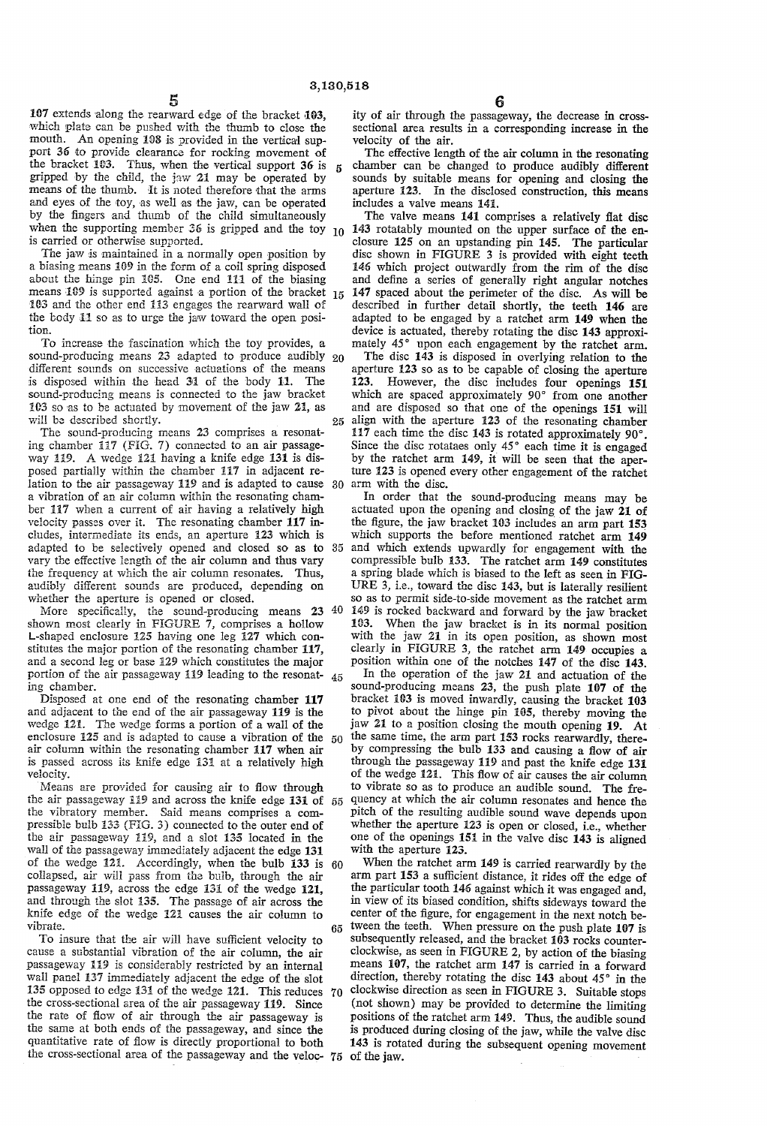$\mathbf{g}$ 

5<br>107 extends along the rearward edge of the bracket 103, which plate can be pushed with the thumb to close the mouth. An opening 108 is provided in the vertical support 36 to provide clearance for rocking movement of the bracket 103. Thus, when the vertical support 36 is gripped by the child, the jaw 21 may be operated by means of the thumb. It is noted therefore that the arms and eyes of the toy, as well as the jaw, can be operated by the fingers and thumb of the child simultaneously

is carried or otherwise supported.<br>The jaw is maintained in a normally open position by<br>a biasing means 109 in the form of a coil spring disposed. about the hinge pin 105. One end 111 of the biasing means  $109$  is supported against a portion of the bracket  $15$ 183 and the other end 133 engages the rearward wall of the body  $\overline{11}$  so as to urge the jaw toward the open position.

To increase the fascination which the toy provides, a sound-producing means  $23$  adapted to produce audibly  $20$ different sounds on successive actuations of the means is disposed within the head 31 of the body 11. The sound-producing means is connected to the jaw bracket 103 so as to be actuated by movement of the jaw 21, as will be described shortly. 25

The sound-producing means 23 comprises a resonat ing chamber 117 (FIG. 7) connected to an air passageway 119. A wedge 121 having a knife edge 131 is disposed partially within the chamber 117 in adjacent re lation to the air passageway 119 and is adapted to cause 30 a vibration of an air column within the resonating chamber 117 when a current of air having a relatively high velocity passes over it. The resonating chamber 117 includes, intermediate its ends, an aperture 123 which is vary the effective isngth of the air column and thus vary the frequency at which the air column resonates. Thus, audibly different sounds are produced, depending on whether the aperture is opened or closed.

shown most clearly in FIGURE 7, comprises a hollow L-shaped enclosure 125 having one leg 127 which constitutes the major portion of the resonating chamber 117, and a second leg or base 129 which constitutes the major portion of the air passageway 119 leading to the resonating chamber. 45

Disposed at one end of the resonating chamber 117 and adjacent to the end of the air passageway 119 is the wedge 121. The wedge forms a portion of a wall of the enclosure  $125$  and is adapted to cause a vibration of the  $50$ air column within the resonating chamber 17 when air is passed across its knife edge 131 at a relatively high velocity.

Means are provided for causing air to flow through the air passageway  $119$  and across the knife edge 131 of 55 the vibratory member. Said means comprises a com pressible bulb  $133$  (FiG. 3) connected to the outer end of the air passageway 119, and a slot 135 located in the wall of the passageway immediately adjacent the edge 131 of the wedge 121. Accordingly, when the bulb 133 is 60 collapsed, air will pass from the buib, through the air passageway 119, across the edge 131 of the wedge 121, and through the slot 35. The passage of air across the knife edge of the wedge 121 causes the air column to vibrate.

To insure that the air will have sufficient velocity to cause a substantial vibration of the air column, the air passageway 119 is considerably restricted by an internal wall panel 137 immediately adjacent the edge of the slot 135 opposed to edge 131 of the wedge 121. This reduces  $70$ the cross-sectional area of the air passageway 119. Since the rate of flow of air through the air passageway is the same at both ends of the passageway, and since the quantitative rate of flow is directly proportional to both the cross-sectional area of the passageway and the veloc-  $75$  of the jaw.

ity of air through the passageway, the decrease in cross sectional area results in a corresponding increase in the velocity of the air.<br>The effective length of the air column in the resonating

chamber can be changed to produce audibly different sounds by suitable means for opening and closing the aperture 123. In the disclosed construction, this means includes a valve means 145.

 $\mu_0$  143 rotatably mounted on the upper surface of the en-The valve means 41 comprises a relatively flat disc closure 125 on an upstanding pin 145. The particular disc shown in FIGURE 3 is provided with eight teeth 145 which project outwardly from the rim of the disc and define a series of generally right angular notches 147 spaced about the perimeter of the disc. As will be described in further detail shortly, the teeth 146 are adapted to be engaged by a ratchet arm 149 when the device is actuated, thereby rotating the disc 143 approximately 45° upon each engagement by the ratchet arm.

The disc 143 is disposed in overlying relation to the aperture 123 so as to be capable of closing the aperture 23. However, the disc includes four openings 151 which are spaced approximately 90° from one another and are disposed so that one of the openings 151 will align with the aperture 123 of the resonating chamber 117 each time the disc 143 is rotated approximately 90°.<br>Since the disc rotataes only  $45^{\circ}$  each time it is engaged by the ratchet arm 149, it will be seen that the aper-<br>ture 123 is opened every other engagement of the ratchet arm with the disc.

adapted to be selectively opened and closed so as to 35 and which extends upwardly for engagement with the More specifically, the sound-producing means  $23 \times 40 \times 149$  is rocked backward and forward by the jaw bracket In order that the sound-producing means may be actuated upon the opening and closing of the jaw 21 of the figure, the jaw bracket 103 includes an arm part 153 which supports the before mentioned ratchet arm 149 compressible bulb 33. The ratchet arm 49 constitutes a spring blade which is biased to the left as seen in FIG URE 3, i.e., toward the disc 143, but is laterally resilient so as to permit side-to-side movement as the ratchet arm 163. When the jaw bracket is in its normal position with the jaw 21 in its open position, as shown most clearly in FIGURE 3, the ratchet arm 49 occupies a position within one of the notches 47 of the disc 143.

In the operation of the jaw 21 and actuation of the sound-producing means 23, the push plate 107 of the bracket 103 is moved inwardly, causing the bracket 103 to pivot about the hinge pin 105, thereby moving the jaw 21 to a position closing the mouth opening 19. At the same time, the arm part 153 rocks rearwardly, there-<br>by compressing the bulb 133 and causing a flow of air through the passageway 119 and past the knife edge 131 of the wedge 121. This flow of air causes the air column to vibrate so as to produce an audible sound. The fre quency at which the air column resonates and hence the pitch of the resulting audible sound wave depends upon whether the aperture 123 is open or closed, i.e., whether one of the openings 151 in the valve disc 143 is aligned with the aperture 123.

When the ratchet arm 149 is carried rearwardly by the arm part 153 a sufficient distance, it rides off the edge of the particular tooth 146 against which it was engaged and, in view of its biased condition, shifts sideways toward the center of the figure, for engagement in the next notch be tween the teeth. When pressure on the push plate 107 is 65 subsequently released, and the bracket 103 rocks counterclockwise, as seen in FIGURE 2, by action of the biasing means 107, the ratchet arm 147 is carried in a forward direction, thereby rotating the disc  $143$  about  $45^\circ$  in the clockwise direction as seen in FIGURE 3. Suitable stops (not shown) may be provided to determine the limiting positions of the ratchet arm  $149$ . Thus, the audible sound is produced during closing of the jaw, while the valve disc 143 is rotated during the subsequent opening movemen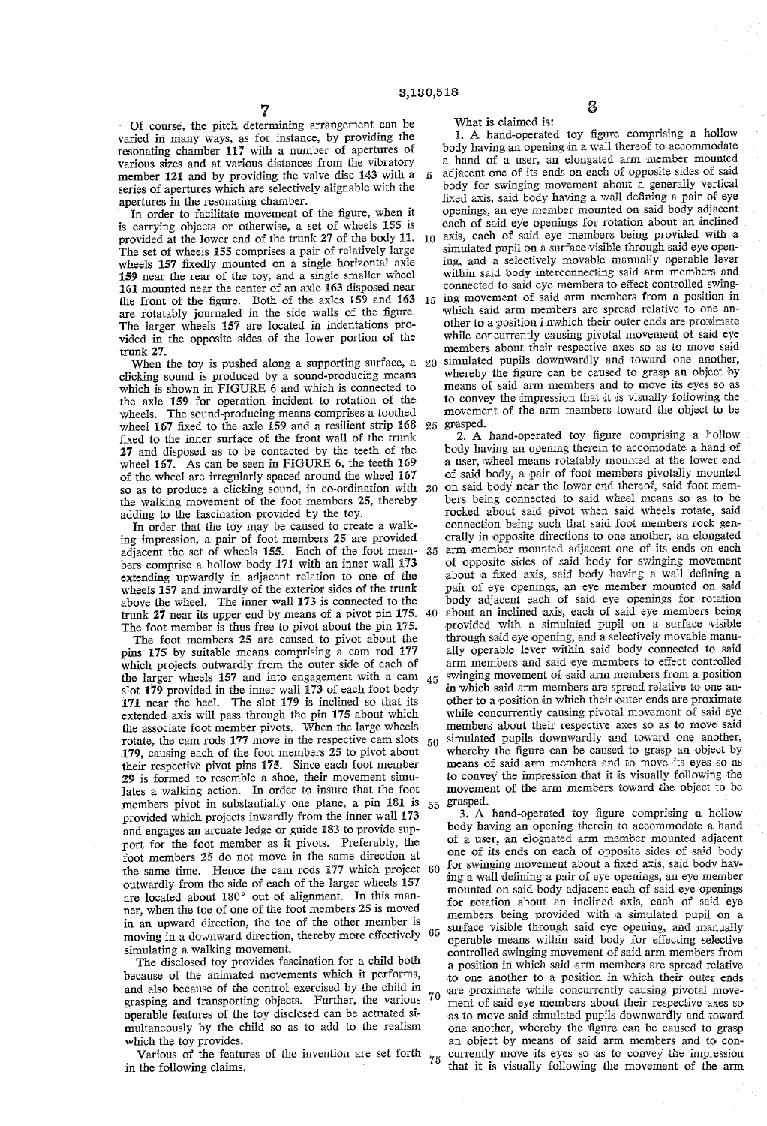$\mathbf{5}$ 

Of course, the pitch determining arrangement can be varied in many ways, as for instance, by providing the resonating chamber 117 with a number of apertures of member 121 and by providing the valve disc 143 with a series of apertures which are selectively alignable with the apertures in the resonating chamber.

In order to facilitate movement of the figure, when it is carrying objects or otherwise, a set of wheels 55 is provided at the lower end of the trunk 27 of the body  $11.10$ The set of wheels 55 comprises a pair of relatively large wheels 157 fixedly mounted on a single horizontal axle 159 near the rear of the toy, and a single smaller wheel 161 mounted near the center of an axle 163 disposed near the front of the figure. Both of the axles 159 and 163 15 are rotatably journaled in the side walls of the figure.<br>The larger wheels 157 are located in indentations provided in the opposite sides of the lower portion of the trunk 27.

When the toy is pushed along a supporting surface, a 20 clicking sound is produced by a sound-producing means which is shown in FIGURE 6 and which is connected to the axle 59 for operation incident to rotation of the wheels. The sound-producing means comprises a toothed wheel 167 fixed to the axle 159 and a resilient strip 168 fixed to the inner surface of the front wall of the trunk 27 and disposed as to be contacted by the teeth of the wheel 167. As can be seen in FIGURE 6, the teeth 169 of the wheel are irregularly spaced around the wheel 167 so as to produce a clicking sound, in co-ordination with the walking movement of the foot members 25, thereby adding to the fascination provided by the toy. 30

In order that the toy may be caused to create a walking impression, a pair of foot members 25 are provided adjacent the set of wheels 155. Each of the foot members comprise a hollow body 171 with an inner wall 173 extending upwardly in adjacent relation to one of the wheels 157 and inwardly of the exterior sides of the trunk above the wheel. The inner wall 173 is connected to the trunk 27 near its upper end by means of a pivot pin 175. The foot member is thus free to pivot about the pin 175.

The foot members 25 are caused to pivot about the pins 175 by suitable means comprising a cam rod 177 which projects outwardly from the outer side of each of the larger wheels 157 and into engagement with a cam slot 179 provided in the inner wall 173 of each foot body 171 near the heel. The slot 179 is inclined so that its extended axis will pass through the pin 175 about which the associate foot member pivots. When the large wheels rotate, the cam rods 177 move in the respective cam slots 79, causing each of the foot members 25 to pivot about their respective pivot pins 175. Since each foot member 29 is formed to resemble a shoe, their movement simu lates a walking action. In order to insure that the foot members pivot in substantially one plane, a pin 181 is provided which projects inwardly from the inner wall 173 and engages an arcuate ledge or guide 183 to provide support for the foot member as it pivots. Preferably, the foot members 25 do not move in the same direction at outwardly from the side of each of the larger wheels 157 are located about 180° out of alignment. In this manner, when the toe of one of the foot members 25 is moved in an upward direction, the toe of the other member is moving in a downward direction, thereby more effectively simulating a walking movement.

The disclosed toy provides fascination for a child both because of the animated movements which it performs, and also because of the control exercised by the child in grasping and transporting objects. Further, the various operable features of the toy disclosed can be actuated si multaneously by the child so as to add to the realism which the toy provides.

Various of the features of the invention are set forth  $_{75}$ in the following claims.

What is claimed is:

25 grasped. 35 about an inclined axis, each of said eye members being 1. A hand-operated toy figure comprising a hollow body having an opening in a wall thereof to accommodate a hand of a user, an elongated arm member mounted adjacent one of its ends on each of opposite sides of said body for swinging movement about a generally vertical fixed axis, said body having a wall defining a pair of eye openings, an eye member mounted on said body adjacent each of said eye openings for rotation about an inclined axis, each of said eye members being provided with a ing, and a selectively movable manually operable lever within said body interconnecting said arm members and connected to said eye members to effect controlled swinging movement of said arm members from a position in which said arm members are spread relative to one another to a position i nwhich their outer ends are proximate while concurrently causing pivotal movement of said eye members about their respective axes so as to move said simulated pupils downwardly and toward one another, whereby the figure can be caused to grasp an object by means of said arm members and to move its eyes so as to convey the impression that it is visually following the movement of the arm members toward the object to be 2. A hand-operated toy figure comprising a hollow body having an opening therein to accomodate a hand of a user, wheel means rotatably mounted at the lower end of said body, a pair of foot members pivotally mounted on said body near the lower end thereof, said foot mem bers being connected to said wheel means so as to be rocked about said pivot when said wheels rotate, said erally in opposite directions to one another, an elongated arm member mounted adjacent one of its ends on each of opposite sides of said body for swinging movement about a fixed axis, said body having a wall defining a pair of eye openings, an eye member mounted on said body adjacent each of said eye openings for rotation provided with a simulated pupil on a surface visible through said eye opening, and a selectively movabie manu ally operable lever within said body connected to said

 $_{45}$  swinging movement of said arm members from a position 50 simulated pupils downwardly and toward one another, 55 grasped. arm members and said eye members to effect controlled in which said arm members are spread relative to one another to a position in which their outer ends are proximate while concurrently causing pivotal movement of said eye members about their respective axes so as to move said whereby the figure can be caused to grasp an object by means of said arm members and to move its eyes so as to convey the impression that it is visually following the movement of the arm members toward the object to be

60 for swinging movement about a lixed axis, said body having a wall defining a pair of eve openings, an eye member 65 surface visible through said eye opening, and manually 70 3. A hand-operated toy figure comprising a hollow body having an opening therein to accommodate a hand of a user, an elognated arm member mounted adjacent for swinging movement about a fixed axis, said body having a wall defining a pair of eye openings, an eye member mounted on said body adjacent each of said eye openings for rotation about an inclined axis, each of said eye<br>members being provided with a simulated pupil on a<br>surface visible through said eye opening, and manually<br>operable means within said body for effecting selective controlled Swinging movement of said arm members from a position in which said arm members are spread relative to one another to a position in which their outer ends are proximate while concurrently causing pivotal move ment of said eye members about their respective axes so as to move said simulated pupils downwardly and toward one another, whereby the figure can be caused to grasp an object by means of said arm members and to concurrently move its eyes so as to convey the impression that it is visually following the movement of the arm